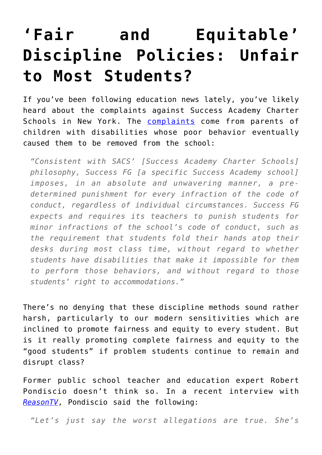## **['Fair and Equitable'](https://intellectualtakeout.org/2016/02/fair-and-equitable-discipline-policies-unfair-to-most-students/) [Discipline Policies: Unfair](https://intellectualtakeout.org/2016/02/fair-and-equitable-discipline-policies-unfair-to-most-students/) [to Most Students?](https://intellectualtakeout.org/2016/02/fair-and-equitable-discipline-policies-unfair-to-most-students/)**

If you've been following education news lately, you've likely heard about the complaints against Success Academy Charter Schools in New York. The [complaints](https://deutsch29.files.wordpress.com/2016/01/sa_lawsuit.pdf) come from parents of children with disabilities whose poor behavior eventually caused them to be removed from the school:

*"Consistent with SACS' [Success Academy Charter Schools] philosophy, Success FG [a specific Success Academy school] imposes, in an absolute and unwavering manner, a predetermined punishment for every infraction of the code of conduct, regardless of individual circumstances. Success FG expects and requires its teachers to punish students for minor infractions of the school's code of conduct, such as the requirement that students fold their hands atop their desks during most class time, without regard to whether students have disabilities that make it impossible for them to perform those behaviors, and without regard to those students' right to accommodations."*

There's no denying that these discipline methods sound rather harsh, particularly to our modern sensitivities which are inclined to promote fairness and equity to every student. But is it really promoting complete fairness and equity to the "good students" if problem students continue to remain and disrupt class?

Former public school teacher and education expert Robert Pondiscio doesn't think so. In a recent interview with *[ReasonTV](https://www.youtube.com/watch?v=FNNcZEOUX50)*, Pondiscio said the following:

*"Let's just say the worst allegations are true. She's*